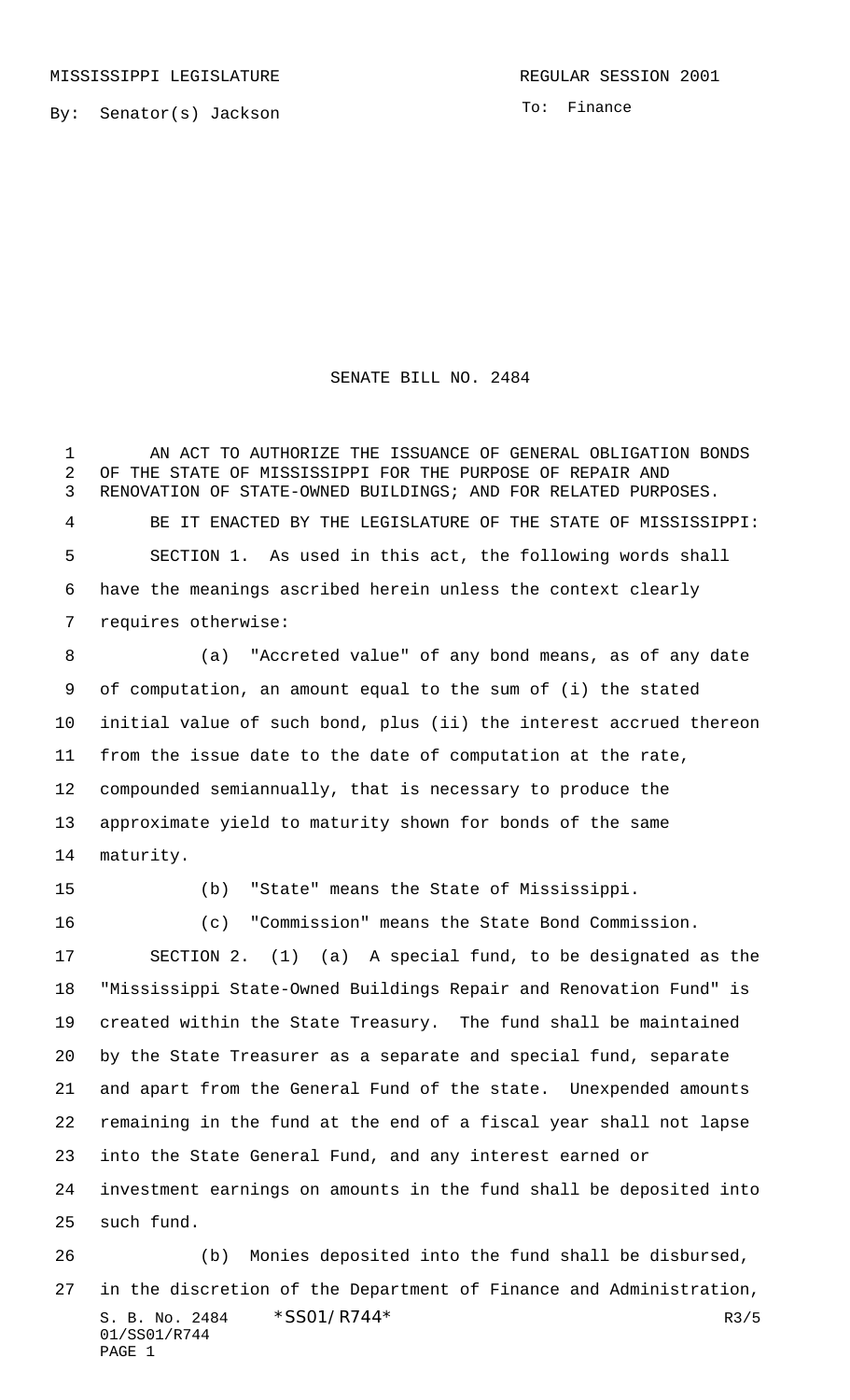By: Senator(s) Jackson

To: Finance

## SENATE BILL NO. 2484

 AN ACT TO AUTHORIZE THE ISSUANCE OF GENERAL OBLIGATION BONDS OF THE STATE OF MISSISSIPPI FOR THE PURPOSE OF REPAIR AND RENOVATION OF STATE-OWNED BUILDINGS; AND FOR RELATED PURPOSES. BE IT ENACTED BY THE LEGISLATURE OF THE STATE OF MISSISSIPPI: SECTION 1. As used in this act, the following words shall have the meanings ascribed herein unless the context clearly requires otherwise:

 (a) "Accreted value" of any bond means, as of any date of computation, an amount equal to the sum of (i) the stated initial value of such bond, plus (ii) the interest accrued thereon from the issue date to the date of computation at the rate, compounded semiannually, that is necessary to produce the approximate yield to maturity shown for bonds of the same maturity.

(b) "State" means the State of Mississippi.

 (c) "Commission" means the State Bond Commission. SECTION 2. (1) (a) A special fund, to be designated as the "Mississippi State-Owned Buildings Repair and Renovation Fund" is created within the State Treasury. The fund shall be maintained by the State Treasurer as a separate and special fund, separate and apart from the General Fund of the state. Unexpended amounts remaining in the fund at the end of a fiscal year shall not lapse into the State General Fund, and any interest earned or investment earnings on amounts in the fund shall be deposited into such fund.

S. B. No. 2484 \* SSO1/R744\* R3/5 01/SS01/R744 PAGE 1 (b) Monies deposited into the fund shall be disbursed, in the discretion of the Department of Finance and Administration,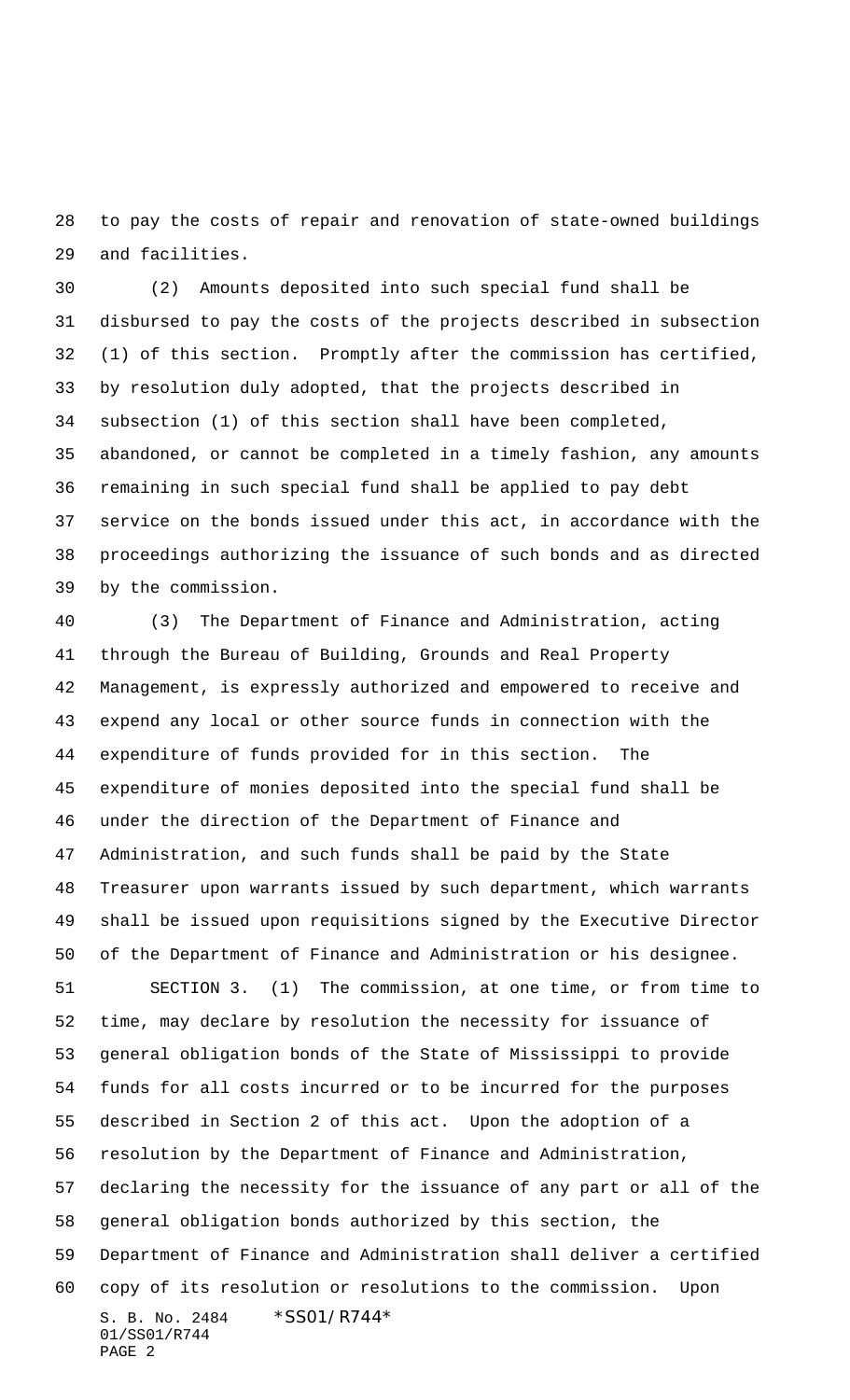to pay the costs of repair and renovation of state-owned buildings and facilities.

 (2) Amounts deposited into such special fund shall be disbursed to pay the costs of the projects described in subsection (1) of this section. Promptly after the commission has certified, by resolution duly adopted, that the projects described in subsection (1) of this section shall have been completed, abandoned, or cannot be completed in a timely fashion, any amounts remaining in such special fund shall be applied to pay debt service on the bonds issued under this act, in accordance with the proceedings authorizing the issuance of such bonds and as directed by the commission.

 (3) The Department of Finance and Administration, acting through the Bureau of Building, Grounds and Real Property Management, is expressly authorized and empowered to receive and expend any local or other source funds in connection with the expenditure of funds provided for in this section. The expenditure of monies deposited into the special fund shall be under the direction of the Department of Finance and Administration, and such funds shall be paid by the State Treasurer upon warrants issued by such department, which warrants shall be issued upon requisitions signed by the Executive Director of the Department of Finance and Administration or his designee. SECTION 3. (1) The commission, at one time, or from time to time, may declare by resolution the necessity for issuance of general obligation bonds of the State of Mississippi to provide funds for all costs incurred or to be incurred for the purposes described in Section 2 of this act. Upon the adoption of a resolution by the Department of Finance and Administration, declaring the necessity for the issuance of any part or all of the general obligation bonds authorized by this section, the

S. B. No. 2484 \* SS01/R744\* 01/SS01/R744 Department of Finance and Administration shall deliver a certified copy of its resolution or resolutions to the commission. Upon

PAGE 2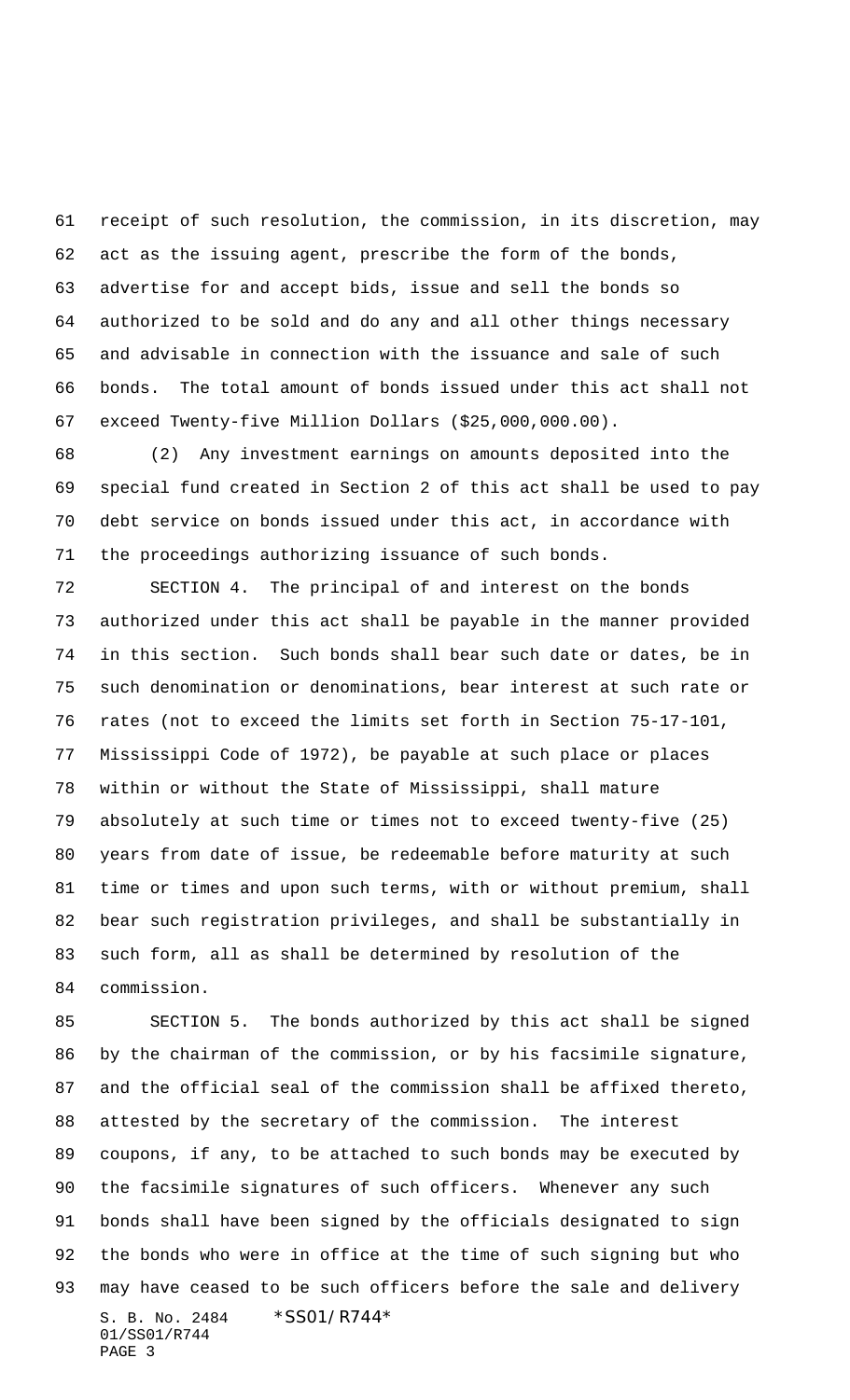receipt of such resolution, the commission, in its discretion, may act as the issuing agent, prescribe the form of the bonds, advertise for and accept bids, issue and sell the bonds so authorized to be sold and do any and all other things necessary and advisable in connection with the issuance and sale of such bonds. The total amount of bonds issued under this act shall not exceed Twenty-five Million Dollars (\$25,000,000.00).

 (2) Any investment earnings on amounts deposited into the special fund created in Section 2 of this act shall be used to pay debt service on bonds issued under this act, in accordance with the proceedings authorizing issuance of such bonds.

 SECTION 4. The principal of and interest on the bonds authorized under this act shall be payable in the manner provided in this section. Such bonds shall bear such date or dates, be in such denomination or denominations, bear interest at such rate or rates (not to exceed the limits set forth in Section 75-17-101, Mississippi Code of 1972), be payable at such place or places within or without the State of Mississippi, shall mature absolutely at such time or times not to exceed twenty-five (25) years from date of issue, be redeemable before maturity at such time or times and upon such terms, with or without premium, shall bear such registration privileges, and shall be substantially in such form, all as shall be determined by resolution of the commission.

S. B. No. 2484 \* SS01/R744\* 01/SS01/R744 PAGE 3 SECTION 5. The bonds authorized by this act shall be signed by the chairman of the commission, or by his facsimile signature, and the official seal of the commission shall be affixed thereto, attested by the secretary of the commission. The interest coupons, if any, to be attached to such bonds may be executed by the facsimile signatures of such officers. Whenever any such bonds shall have been signed by the officials designated to sign the bonds who were in office at the time of such signing but who may have ceased to be such officers before the sale and delivery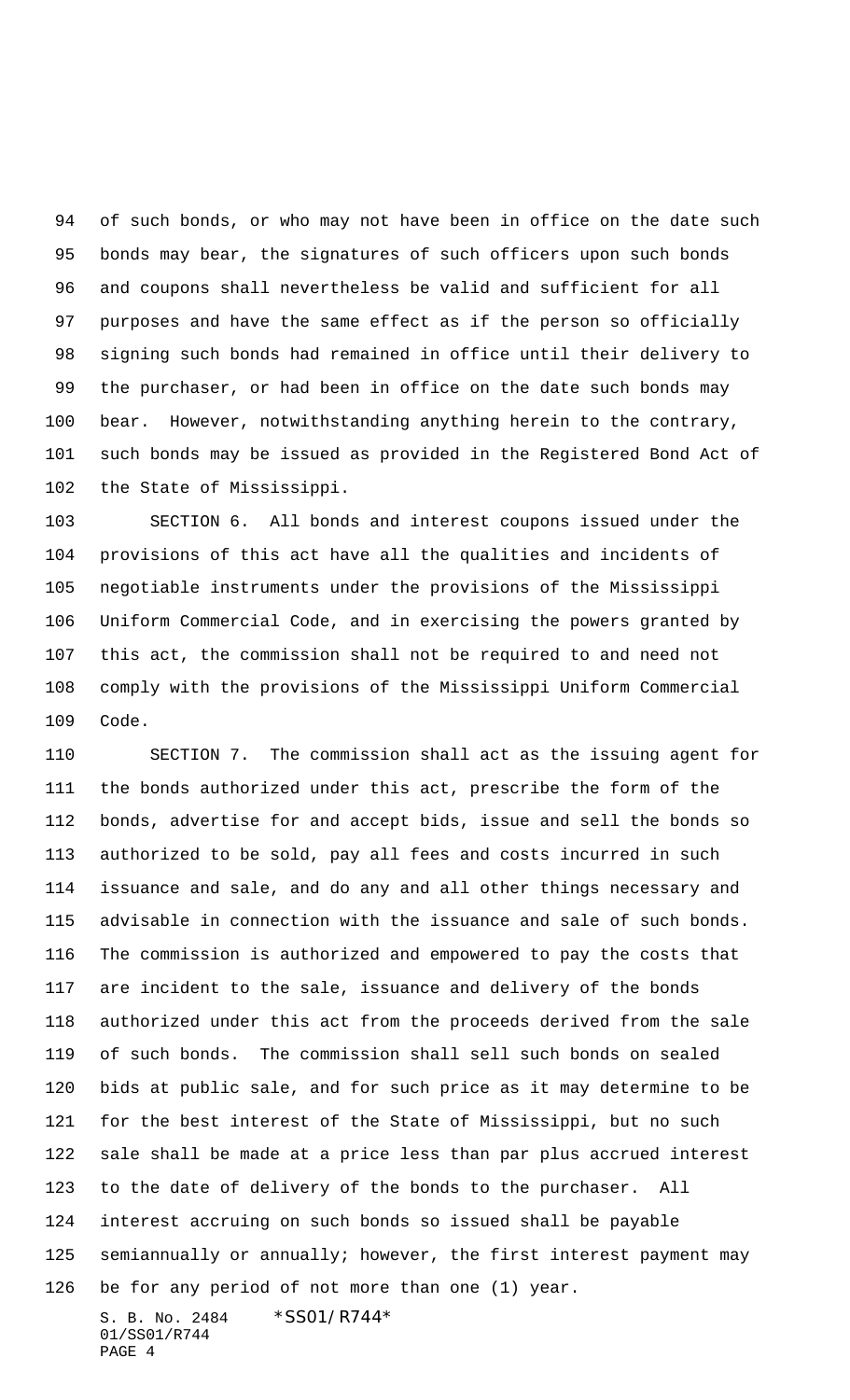94 of such bonds, or who may not have been in office on the date such bonds may bear, the signatures of such officers upon such bonds and coupons shall nevertheless be valid and sufficient for all purposes and have the same effect as if the person so officially signing such bonds had remained in office until their delivery to the purchaser, or had been in office on the date such bonds may bear. However, notwithstanding anything herein to the contrary, such bonds may be issued as provided in the Registered Bond Act of the State of Mississippi.

 SECTION 6. All bonds and interest coupons issued under the provisions of this act have all the qualities and incidents of negotiable instruments under the provisions of the Mississippi Uniform Commercial Code, and in exercising the powers granted by this act, the commission shall not be required to and need not comply with the provisions of the Mississippi Uniform Commercial Code.

S. B. No. 2484 \*SS01/R744\* SECTION 7. The commission shall act as the issuing agent for the bonds authorized under this act, prescribe the form of the bonds, advertise for and accept bids, issue and sell the bonds so authorized to be sold, pay all fees and costs incurred in such issuance and sale, and do any and all other things necessary and advisable in connection with the issuance and sale of such bonds. The commission is authorized and empowered to pay the costs that are incident to the sale, issuance and delivery of the bonds authorized under this act from the proceeds derived from the sale of such bonds. The commission shall sell such bonds on sealed bids at public sale, and for such price as it may determine to be for the best interest of the State of Mississippi, but no such sale shall be made at a price less than par plus accrued interest to the date of delivery of the bonds to the purchaser. All interest accruing on such bonds so issued shall be payable semiannually or annually; however, the first interest payment may be for any period of not more than one (1) year.

01/SS01/R744 PAGE 4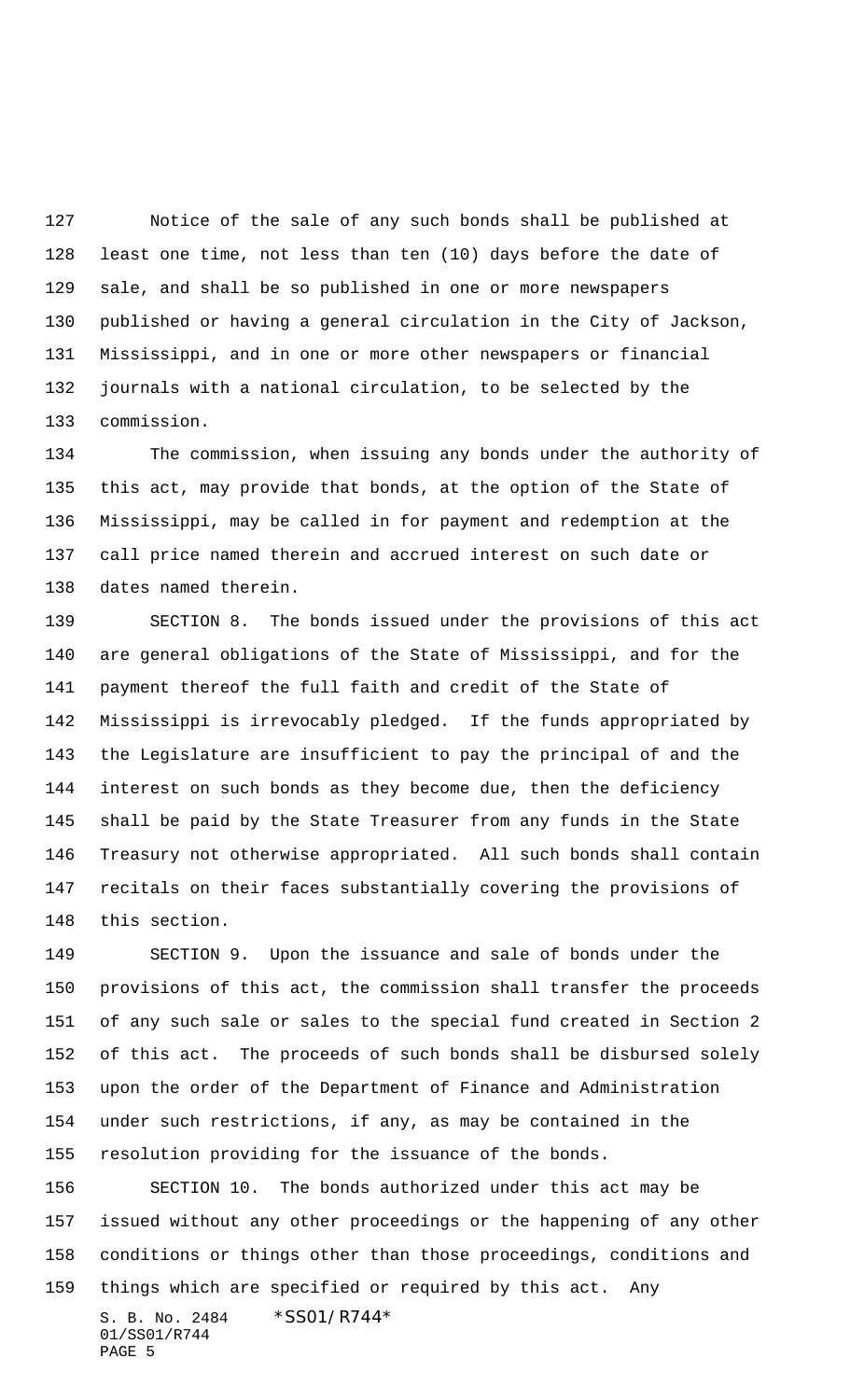Notice of the sale of any such bonds shall be published at least one time, not less than ten (10) days before the date of sale, and shall be so published in one or more newspapers published or having a general circulation in the City of Jackson, Mississippi, and in one or more other newspapers or financial journals with a national circulation, to be selected by the commission.

 The commission, when issuing any bonds under the authority of this act, may provide that bonds, at the option of the State of Mississippi, may be called in for payment and redemption at the call price named therein and accrued interest on such date or dates named therein.

 SECTION 8. The bonds issued under the provisions of this act are general obligations of the State of Mississippi, and for the payment thereof the full faith and credit of the State of Mississippi is irrevocably pledged. If the funds appropriated by the Legislature are insufficient to pay the principal of and the interest on such bonds as they become due, then the deficiency shall be paid by the State Treasurer from any funds in the State Treasury not otherwise appropriated. All such bonds shall contain recitals on their faces substantially covering the provisions of this section.

 SECTION 9. Upon the issuance and sale of bonds under the provisions of this act, the commission shall transfer the proceeds of any such sale or sales to the special fund created in Section 2 of this act. The proceeds of such bonds shall be disbursed solely upon the order of the Department of Finance and Administration under such restrictions, if any, as may be contained in the resolution providing for the issuance of the bonds.

 SECTION 10. The bonds authorized under this act may be issued without any other proceedings or the happening of any other conditions or things other than those proceedings, conditions and things which are specified or required by this act. Any

S. B. No. 2484 \* SS01/R744\* 01/SS01/R744 PAGE 5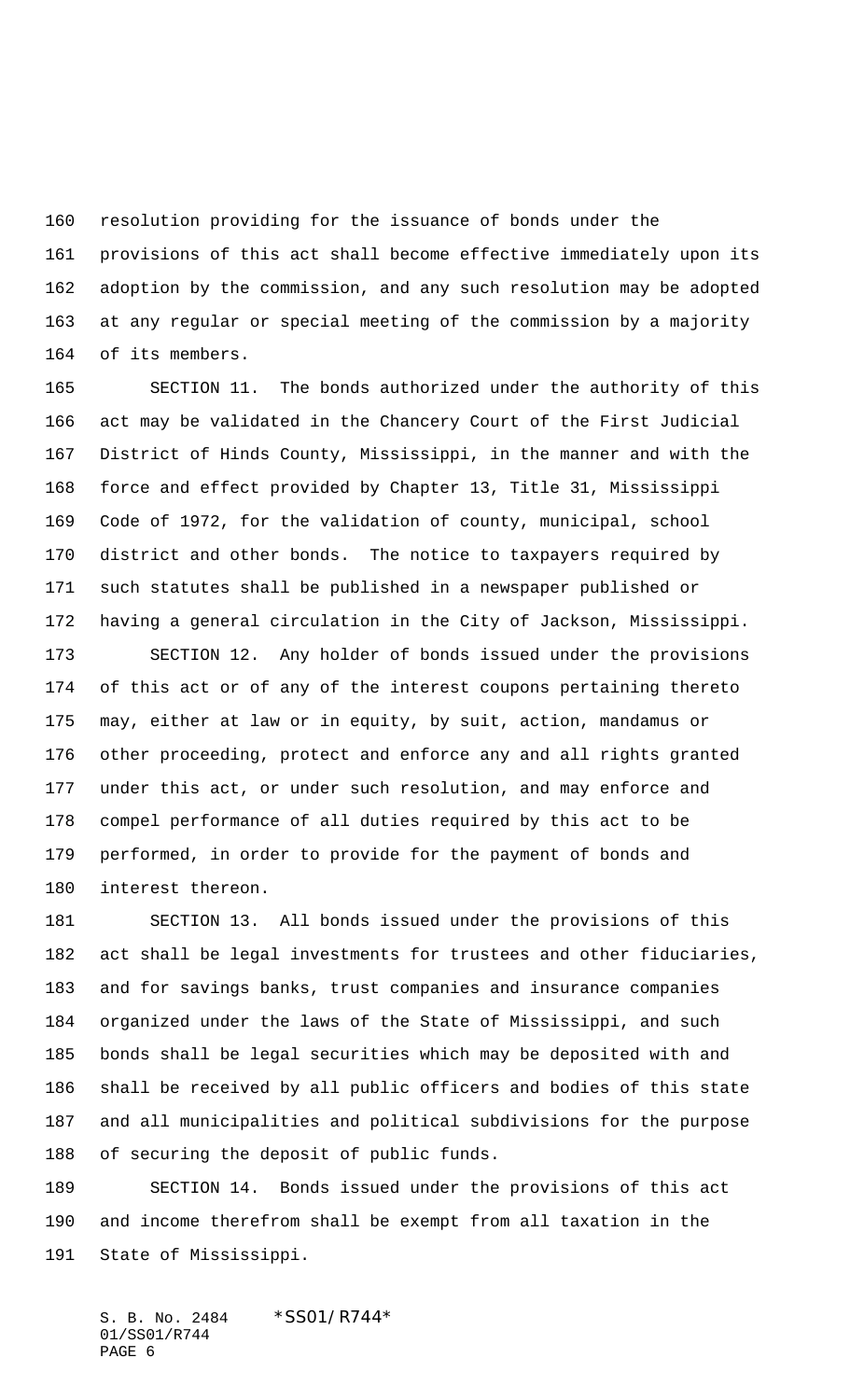resolution providing for the issuance of bonds under the provisions of this act shall become effective immediately upon its adoption by the commission, and any such resolution may be adopted at any regular or special meeting of the commission by a majority of its members.

 SECTION 11. The bonds authorized under the authority of this act may be validated in the Chancery Court of the First Judicial District of Hinds County, Mississippi, in the manner and with the force and effect provided by Chapter 13, Title 31, Mississippi Code of 1972, for the validation of county, municipal, school district and other bonds. The notice to taxpayers required by such statutes shall be published in a newspaper published or having a general circulation in the City of Jackson, Mississippi.

 SECTION 12. Any holder of bonds issued under the provisions of this act or of any of the interest coupons pertaining thereto may, either at law or in equity, by suit, action, mandamus or other proceeding, protect and enforce any and all rights granted under this act, or under such resolution, and may enforce and compel performance of all duties required by this act to be performed, in order to provide for the payment of bonds and interest thereon.

 SECTION 13. All bonds issued under the provisions of this act shall be legal investments for trustees and other fiduciaries, and for savings banks, trust companies and insurance companies organized under the laws of the State of Mississippi, and such bonds shall be legal securities which may be deposited with and shall be received by all public officers and bodies of this state and all municipalities and political subdivisions for the purpose of securing the deposit of public funds.

 SECTION 14. Bonds issued under the provisions of this act and income therefrom shall be exempt from all taxation in the State of Mississippi.

S. B. No. 2484 \* SS01/R744\* 01/SS01/R744 PAGE 6